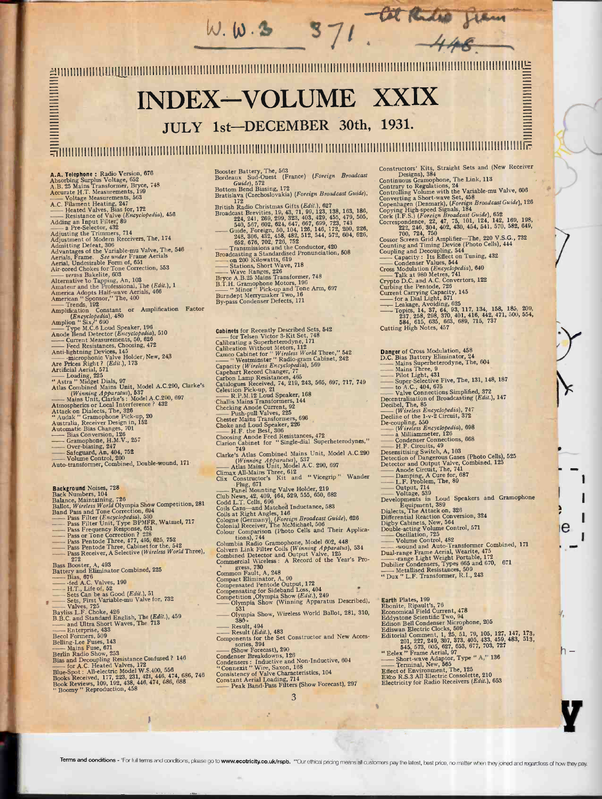$W. W.3$ INDEX - VOLUME XXIX JULY 1st-DECEMBER 30th, 1931. IIIIIIIIIIIIIIIIIIIIIIIIIII1IIIIIIIIIIIIIIIIIIIIIIIIIIIIIIIIIIIIIIIIIIIfIIIIfIIIIfIf IIIIIIIIIIfIIIiIIIIIIIIIIIIIIIIIIIIIIIIIIIiIflllllililillllllll- Constructors' Kits, Straight Sets and (New Receiver<br>
Continuous Gramophone, The Link, 113<br>
Contrary to Regulations, 24<br>
Controlling Volume with the Variable-mu Valve, 606<br>
Converting a Short-wave Set, 458<br>
Copping High-sp Booster Battery, The, 563<br>Bordeaux Sud-Ouest (France) (Foreign Broadcast A.A. Telephone: Radio Version, 676<br>A.Borbing Surplus Voltage, 652<br>A.B. 25 Mains Transformer, Bryce, 748<br>A.B. 25 Mains Transformer, Bryce, 748<br>A.C. Filament Heating, 247<br>A.C. Fliament Heating, 247<br>A.C. Fliament Heating, 24 Guide), 572<br>Bottom Bend Biasing, 172<br>Bratislava (Czechoslovakia) (F*oreign Broadcast Guide*), (C)<br>172 x (C) intera Citta (Fdit), 897 British Radio Christmas Gifts (*Edit.*), 627<br>Broadcast Brevities, 19, 43, 71, 99, 123, 138, 163, 186, C<br>224, 241, 269, 299, 323, 403, 429, 455, 479, 505, C<br>C Broiadcast Brevities, 19, 43, 71, 99, 123, 138, 163, 186, 200, 224, 241, 269, 299, 323, 403, 429, 455, 479, 505, 2<br>
Broadcast Brevities, 19, 43, 71, 99, 123, 138, 163, 186, 224, 240, 269, 723, 743<br>
-- Guide, Foreign, 50, 1 540, 567, 602, 624, 644, 667, 699, 723, 742, 646, 120<br>
Guide, Foreign, 50, 104, 126, 146, 172, 200<br>
248, 306, 432, 458, 482, 512, 544, 572, 604<br>
562, 676, 702, 720, 762, 752<br>
Transmissions and the Conductor, 420<br>
Fransmis Advantages of the Variable-mu Valve, 1he, as<br>Aerials, Frame. See under Frame Aerials<br>Aerial, Undesirable Form of, 651<br>Air-cord Chokes for Tone Correction, 553<br>Air-cord Chokes for Tone Correction, 553<br>Alternative to Tappin  $\begin{array}{ll}\n & \text{Amplification} & \text{Fareds} & \text{Hsp} \\
 \hline\n \text{Amplification} & \text{Constant} & \text{or} & \text{Amplification} & \text{Factor} \\
 \text{Amplification} & \text{Sixy}^1 & 690 \\
 \text{Time} & \text{Tree} & \text{Tree} & \text{Tree} \\
 \text{Trace} & \text{Hence} & \text{Tree} & \text{Spec} \\
 \text{Andode} & \text{Heped} & \text{Post} & \text{Spec} \\
 \text{Andode} & \text{Spec} & \text{Cosings}, & 172 \\
 \text{Andifphining Devies, Clocosing, 472} & \text{CG}$ **Cabinets** for Recently Described Sets, 542<br>
Calibrating a Superbetterodyne, 171<br>
Calibration Without Meters, 112<br>
Calibration Without Meters, 112<br>
Came Cabinet for "*Wireless World* Three," 542<br>  $\frac{1}{2}$  Capacity (*Wire* Danger of Cross Modulation, 458 D.C. Bias Battery Eliminator, 24 - Mains Superheterodyne, The, 604 Mains Three, 9 Pilot Light, 431 Super -Selective Five, The, 131, 148, 187 - to A.C., 404, 675 Valve Connections Simplified, 372 Decentralisation of Broadcasting (Edit.), 147 Decibel, The, <sup>85</sup>- (Wireless Encyclopedia), 747 Decline of the 1-v-2 Circuit, 372 De -coupling, <sup>550</sup>- (Wireless Encyclopedia), <sup>698</sup>-a Milliammeter, <sup>126</sup>- Condenser Connections, <sup>688</sup>- H.F. Circuits, 49 Desensitising Switch, A, 103 Detection of Dangerous Gases (Photo Cells), 525 Detector and Output Valve, Combined, <sup>125</sup>- Anode Circuit, The, 741 - Damping, A Cure for, 687 - L.F, Problem, The, 89 Output, 714 Voltage, <sup>539</sup>Developments in Loud Speakers and Gramophone  $\begin{tabular}{l} \textbf{``Astra''}, \textbf{Midge1}, 225 \\ \textbf{``Astra''}, \textbf{Midge1} \textbf{ Dials, } 97 \\ \textbf{Atlas Combined Mains Unit, Model A.C. 290, Cla \\ \textbf{``Mims, 4/para/4us)}, 837 \\ \textbf{``Mias Unit, Clarke's : Model A.C. 290, 697} \\ \textbf{Atmospheres or Local Interference? } 432 \\ \textbf{Attake on Dialects. The, 328 \\ \textbf{``Audak''} \textbf{Gramophone Pick-up, 20} \\ \textbf{Automatic Bias Change, 701} \\ \textbf{Automatic Bias Changes$ Clarion Cabinet for "Single-dial Superneteroaynes,<br>
Clarke's Atlas Combined Mains Unit, Model A.C.290 (Winning Apparatus), 537<br>
— Atlas Mains Unit, Model A.C. 290, 697 D<br>
Climax All-Mains Three, 612<br>
Clix Constructor's Ki Atlas Mains Unit, Model A.C. 290, 697<br>Climax All-Mains Three, 612<br>Clix Constructor's Etit and "Vicegrip" Wander<br>Plug, 671<br>— Panel Mounting Valve Holder, 219<br>Club News, 42, 409, 464, 529, 555, 650, 682<br>Codd L.T. Cells, 696<br> **Background** Noises, 728<br>
Ballote, Mintaining, 726<br>
Ballote, Wireless World Olympia Show Competition, 281<br>
Ballot, Wireless World Olympia Show Competition, 281<br>
Dana Pass Filter (Encyclopedia), 530<br>
Tass Frequency Respons

- 
- 
- 
- 
- 
- 
- 
- 
- 
- 
- 
- 

I

tions), 744<br>Columbia Radio Gramophone, Model 602, 448<br>Colvern Link Filter Coils (Winning Apparatus), 534<br>Combined Detector and Output Valve, 125<br>Commercial Wireless: A Record of the Year's Pro-**Common Fault, A, 248**<br>
Compact Eliminator, A, 90<br>
Compensating for Sideband Loss, 404<br>
Competition ,Olympia Show (*Edit.*), 249<br>
Competition ,Olympia Show (*Edit.*), 249<br>
<u>Colympia</u> Show (Winning Apparatus Described), Compensating for Sideband Loss, 404<br>
Competition Olympia Show (Edit.), 249<br>
- S31<br>
- S31<br>
- Olympia Show, Wireless World Ballot, 281, 310,<br>
- 380,<br>
- 380,<br>
- 281,<br>
- 281, Ultimal Show (withing Apparatus Ecclesion, 331<br>  $-$  01ympia Show, Wireless World Ballot, 281, 310,<br>  $38\phi$ ,<br>
Result,  $494$ <br>
Result,  $(Edit.)$ , 483<br>
Components for the Set Constructor and New Accessories, 394<br>
Components for

- Cit Rudio gram

Equipment, 389<br>
Equipment, 389<br>
Differential Reaction Conversion, 324<br>
Differential Reaction Conversion, 324<br>
Digby Cabinets, New, 564<br>
Double-acting Volume Control, 571<br>
Cosulation, 725<br>
Wolume Control, 482<br>
wound and Aut

I

Y

 $e$   $\qquad$ 

.

Earth Plates, 199<br>
Ebonite, Ripault's, 76<br>
Ebonite, Ripault's, 76<br>
Economical Field Current, 478<br>
Eddystone Scientific Two, 94<br>
Edison Bell Condenser Microphone, 205<br>
Ediswan Electric Clocks, 509<br>
Editorial Comment, 1, 25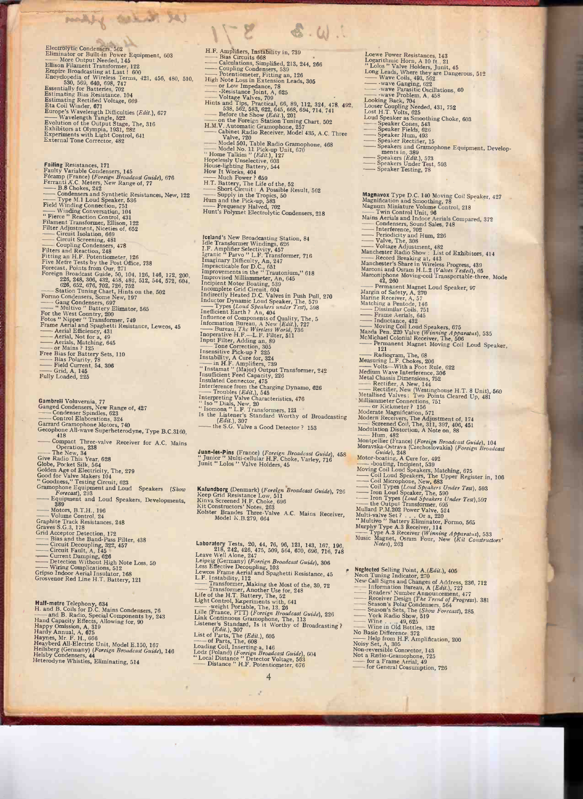Electrolytic Condensers, 562<br>
Eliminator or Bullt-in Power Equipment, 603<br>
Elliminator or Bullt-in Power Equipment, 603<br>
Ellison Filament Transformer, 122<br>
Empire Broadcasting at Last 1600<br>
Empire Broadcasting at Last 160

we think of them

**Failing Resistances, 171**<br>
Failing Resistances, 171<br>
Failing Variable Cordensers, 145<br>
Fécamp (France) (Foreign Broadcas Guide), 676<br>
Ferranti A.C. Meters, New Range of, 77<br>
— Dope M.I Loud Speaker, 586<br>
Cordensers and S

Gambreil Voluvernia, 77<br>
Ganged Condensers, New Range of, 427<br>
--Condenser Spindles, 623<br>
--Control Elaborations, 324<br>
Garrad Gramophone Motors, 740<br>
Gecophone All-wave Superbeterodyne, Type B.C.3160,<br>
--Compact Three-val

**Half-metre Telephony, 634**<br>H. and B. Coils for D.C. Mains Condensers, 76<br>H. and B. Radio, Special Components by, 243<br>Happy Omission, A, 319<br>Hardy Annual,  $A$ , 675<br>Happy Omission, A, 319<br>Hardy Annual,  $A$ , 675<br>Haynes, Mr.

- H.F. Amplifiers, Instability in, 739 Bias Calculations, H.F. Amplifiers, Instability in, 739<br>
— Bias Circuits 668<br>
— Calculations, Simplified, 213, 244, 266<br>
Coupling Condensers, 530, 244, 266<br>
— Potentiometer, Fitting an, 126<br>
High Note Loss in Extension Leads, 305<br>
— Potenti

**Iceland's** New Broadcasting Station, 84<br>
Ide Transformer Windings, 626<br>
I.F. Amplifier Selectivity, 457<br>
Igranic "Parvo" L.F. Transformer, 716<br>
Imparatriable for D.C., 651<br>
Improvements in the "Trantonium," 618<br>
Improvem

Juan-les-Pins (France) (Foreign Broadcast Guide), 458<br>" Junior " Multi-cellular H.F. Choke, Varley, 716<br>Junit " Lolos " Valve Holders, 45

Kalundborg (Denmark) (Foreign Broadcast Guide), 726 Keep Grid Resistance Low, 511 Kinva Screened H.F. Choke, 696 Kolster Brandes Three-Valve A.C. Mains Receiver, Model K.B.279, 664

Laboratory Tests, 20, 44, 76, 96, 121, 143, 167, 196,<br>
218, 242, 426, 44, 76, 90, 121, 143, 167, 196,<br>
218, 242, 426, 475, 509, 564, 670, 696, 716, 748<br>
Leipzig (Germany) (*Foreign Broadcast Guide*), 306<br>
Lewcos Frame Aer

Loewe Power Resistances, 143 Logarithmic Horn, A 10 -ft., 21 " Lobos " Valve Holders, Junit, 45 Long - Leads, Where they are Dangerous, 512 - Wave Coils, 493, 562 - -wave Ganging, 622 - -wave Parasitic Oscillations, 60 -wave Problem, A, 458 Looking Back, 704 Looser Coupling Needed, 431, 752 Lost H.T. Volts, 625 Loud - Speaker as Smoothing Choke, 603 Speaker Cones, 543 Fields, 626 Hum, 493 Rectifier, 15 Speakers and Gramophone Equipment, Develop- - ments in, 389 - Speakers (Edit.), 573 Under Test, 593 Speaker Testing, 78 Magnavox Type D.C. 140 Moving Coil Speaker, 427 Magnification and Smoothing, 78 Magnum - Miniature Volume Control, 218 Twin Control Unit, 96 Mains Aerials and Indoor Aerials Compared, 372 - Condensers, Sound Sales, 748 Interference, 702 Periodicity and Hum, 226 Valve, The, 308 Voltage Adjustment, 482 Manchester - Radio Show : List of Exhibitors, 414 Record Breaking at, 443 Manchester's Share in Wireless Progress, 439 Marconi and Osram H.L.2 (Valves Tested), 65 Marconiphone Moving -coil Transportable -three, Mode - 42, 260 Permanent Magnet Loud Speaker, 97 Margin of Safety, A, 270 Marine Receiver, A, 57 - Matching a Pentode, 146 Dissimilar Coils, 751 Frame Aerials, 645 - Inductance, 432 Moving Coil Loud Speakers, 675 Mazda Pen. 220 Valve (Winning Apparatus), 535 - McMichael Colonial Receiver, The, 506 Permanent Magnet Moving Coil Loud Speaker,' - 121 Radiogram, The, 68 Measuring - L.F. Chokes, 206 Volts -With a Foot Rule, 622 Medium Wave Interference, 306 Metal - Chassis Dimensions, 752 - Rectifier, A New, 144 Rectifier, New (Westinghouse H.T. 8 Unit), 560 Metallised Valves: Two Points Cleared Up, 481 MilliammeterConnections, - 751 or Kickmeter ? 156 Moderate Magnification, 571 Modern - Receivers, The Adjustment of, 174 Screened Coil, The, 311, 397, 406, 451 - Modulation Distortion, A Note on, 88 Hum, 482 Montpellier (France) (Foreign Broadcast Guide), 104 Morayska-Ostrava (Czechoslovakia) (Foreign Broadcast Guide), 248 Motor - -boating, A Cure for, 492 -boating, Incipient, 539 - Moving Coil Loud Speakers, Matching, 675 - Coil Loud Speakers, The Upper Register in, 106 Coil Microphone, New, 683 -'Coil - Types (Load Speakers Under Test), 593 - Iron Loud Speaker, The, 590 - Iron Types (Loud Speakers Under Test),597 the Output Transformer, 695 Mullard P.11.202 Power Valve, 524 Multi -valve Set ? Or a, 220 " Multivo " Battery Eliminator, Formo, 565 Murphy - Type A.3 Receiver, 114 Type A.3 Receiver (Winning Apparatus), 533 Music Magnet, Osram Four, New (Kit Constructors' Notes), 263 Neglected Selling Point, A.(Edit.), 405 Neon Tuning Indicator, 270 New - Call Signs and Changes of Address, 236, 712 - Information Bureau, A (Edit.), 727 Readers' Number Announcement, 477 - Receiver Design (The Trend of Progress). 381 Season's Polar Condensers, 564 - Season's Sets, The (Show Forecast), 285 York Radio Show, 519 - Wine . .., 49, 625 Wine in Old Bottles, 132 No Basic Difference, 372 Help from H.F. Amplification, 200 Noisy Set, A, 305 Non -reversible Connector, 143 - Not a Radio -Gramophone, 725 - for a Frame Aerial, 49 for General Consumption, 726

- 
- 
- 
- 
- 
- 
- 
- 
- 
- 
- 
-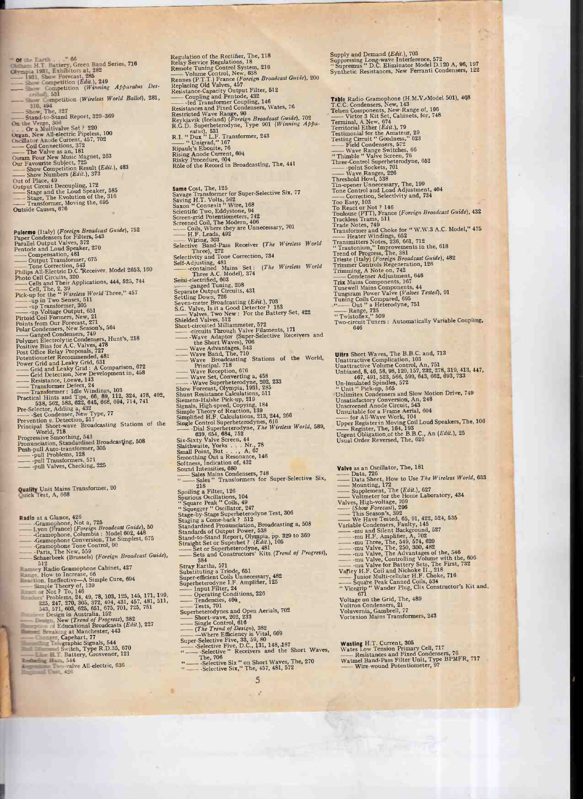Show Competition (Winning Apparatus Description (Windelss World Ballot), 281,<br>
Show Competition (Wireless World Ballot), 281,<br>
Show, The, 327<br>
Stand-to-Stand Report, 329-369<br>
On the Verge, 306<br>
Organ, New All-electric Pip

**Palermo** (Italy) (Foreign Broadcast Guide), 752<br>
Paper Condensers for Filters, 543<br>
Paralel Output Valves, 372<br>
Pentode and Loud Speaker, 270<br>
—Compensation, 481<br>
Coutput Transformer, 675<br>
—Thilips All-Electric D.C. Rece

Quality Unit Mains Transformer, 20<br>Quick Test, A, 668

Radio at a Glance,  $426$ <br>
-- Gramophone, Not a, 725<br>
-- Uyon (France) (Foreign Broadcast Guide), 50<br>
-- Gramophone, Columbia : Model 602, 448<br>
-- Gramophone Conversion, The Simplest, 675<br>
-- Gramophone Tone Control, 90<br>
--Paris, the New, 359<br>
Schaerbeek (Brussels) (Foreign Broadcast Guide),<br>
512<br>
Schaerbeek (Brussels) (Foreign Broadcast Guide),<br>
Famee Rotto Increase, 66<br>
Rection, Ineffective-A Simple Cure, 694<br>
Simple Theory of, 139<br>
comp

Regulation of the Rectifier, The, 118<br>
Relay Service Regulations, 18<br>
Remote Tuning Control System, 216<br>
— Volume Control, New, 638<br>
— Volume Control, New, 638<br>
Replacing Oid Valves, 457<br>
Resistance-Capcity Output Filter,

Ningy Procedure, 004<br>
Ridey Procedure, 004<br>
Ridey Procedure, 004<br>
Role of the Record in Broadcasting, The, 441<br>
Role of the Record in Broadcasting, The, 441<br>
Saving Erransformer for Super-Selective Six, 77<br>
Saving Erransf

 $\overline{5}$ 

The, 706<br>Selective Six " on Short Waves, The, 270<br>Selective Six," The, 457, 481, 572

Supply and Demand (*Edit.*), 703<br>Suppressing Long-wave Interference, 572<br>"Supremus " D.C. Eliminator Model D.120 A, 96, 197<br>Synthetic Resistances, New Ferranti Condensers, 122

Table Radio Gramophone (H.M.V./Model 501), 448<br>
T.C.C. Condensers, New, 143<br>
Telsion components, New Kange of, 196<br>
Urior 3 Kit Set, Cabinets, for, 748<br>
Terminal, A New, 674<br>
Terminality the Amateur, 29<br>
Testimonial for t

**Ultra Short Waves, The B.B.C.** and, 713<br>
Unattractive Complication, 103<br>
Unattractive Volume Control, An, 751<br>
Unattractive Volume Control, An, 751<br>
Unbiased, 8, 46, 58, 98, 120, 157, 232, 278, 319, 413, 447,<br>
161-insula

Valve as an Oscillator, The, 181<br>  $\longrightarrow$  Data, 726<br>  $\longrightarrow$  Data, 726<br>
Mounting, 172<br>
Mounting, 172<br>
Supplement, The (Edit.), 627<br>
Mounting, 172<br>
Supplement, The (Edit.), 627<br>  $\longrightarrow$  Voltmeter for the Home Laboratory, 434<br>
Valve

Wasting H.T. Current, 305<br>Wates Low Tension Primary Cell, 717<br>— Resistances and Fixed Condensers, 76<br>Watmel Band-Pass Filter Unit, Type BPMFR, 717<br>Wire-wound Potentiometer, 97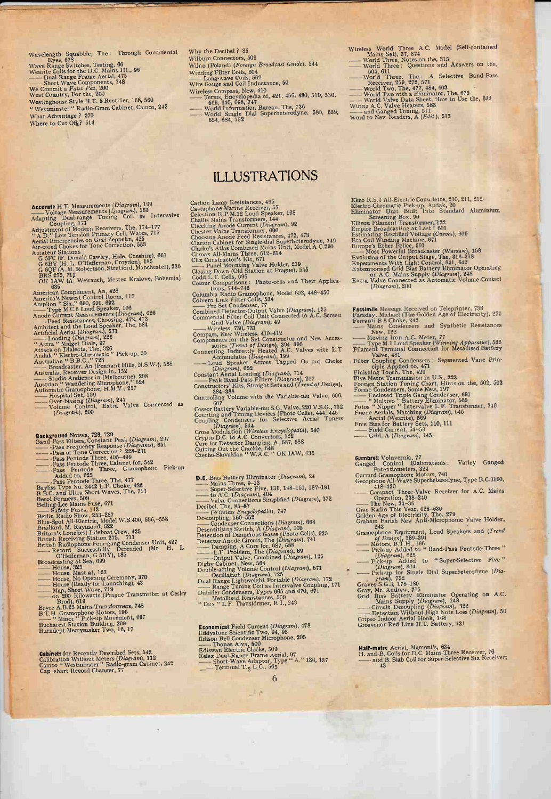Wavelength Squabble, The: Through Continental<br>
Weve Range Switches, Testing, 66<br>
Wearite Coils for the D.C. Mains III., 96<br>
Wearite Coils for the D.C. Mains III., 96<br>
— Dual Range Frame Aerial, 475<br>
— Short Wave Component Where to Cut Off<sup>2</sup>? 514

- Why the Decibel  $\ell$  85<br>
Wilburn Connectors, 509<br>
Wilhon (Poland) (*Foreign Broadcast Guide*), 544<br>
Winding Filter Coils, 682<br>
Wire Gauge and Coil Inductance, 50<br>
Wireless Compass, New, 410<br>
Wireless Compass, New, 410<br>
Te
- 
- Wire Gauge and Contraction Bureau, The, 786<br>  $\frac{1}{2}$  Terms, Encyclopedia of, 421, 456, 480, 510, 530,<br>  $\frac{569, 640, 698, 747}{100 \text{16} \cdot \text{m} \cdot \text{m} \cdot \text{m}}$ <br>
World Single Dial Superheterodyne, 589, 639,<br>  $\frac{654, 684,$

# ILLUSTRATIONS

Accurate H.T. Measurements (*Diagram*), 199<br>
Adapting Dual-range Tuning Coil as Intervalve<br>
Adapting Dual-range Tuning Coil as Intervalve<br>
Adjustment of Modern Receivers, The, 174-177<br>  $A.D.$  Low Tension Primary Cell, Wate OK 1410, (A. Weirauch, Mestec Kralove, Bohemia)<br>
1635<br>
American Compliment, An, 428<br>
America's Newst Control Room, 117<br>
Amplion "Six," 690, 691, 692<br>  $\overline{AB}$  Type M.C.6 Loud Speaker, 196<br>
Anode Current Measurements (*Dia* 

- 
- Background Noises, 728, 729 Band -Pass Filters, Constant Peak (Diagram), <sup>297</sup> -Pass Frequency Response (Diagrams), <sup>651</sup> -Pass or Tone Correction ? 228-231 -Pass Pentode Three, 495-499 -Pass Pentode Three, Cabinet for, 542 - -Pass Pentode Three, Gramophone Pick-up
- 
- 
- 
- 
- 
- 
- 
- 
- -- Pass Pentode Inree, 439-439<br>-- Pass Pentode Three, Gabinet for, 542<br>-- Pass Pentode Three, Gabinet for, 542<br>-- Pass Pentode Three, The, 477<br>-- Pass Pentode Three, The, 477<br>Bayliss Type No. 3442 L.F. Choke, 426<br>B.B.C. an British Radiophone Four-gang Condenser Unit, 427 - House, 325<br>
-- Record Successfully Defended (Mr. H. L. -- House, 325<br>
Broadcasting at Sea, 699<br>
-- House, Nast at, 163<br>
-- House (Ready for Launching), 43<br>
-- House (Ready
- 
- 
- 
- 
- 
- 
- 
- Brod), 619 Bryce A.B.25 Mains Transformers, 748 B.T.H. Gramophone Motors, 196 " Minor " Pick-up Movement, .69 <sup>7</sup>Bucharest Station Building, 299 Bu adept Merrymaker Two, 16, 17
- 

-Cabinets for Recently Described Sets, 542 Calibration Without Meters (Diagram), 112 Cameo " Westminster" Radio -gram Cabinet, 242 Cap ehart Record Changer, <sup>77</sup>

Carbon Lamp Resistances, 465<br>
Castaphone Marine Receiver, 57<br>
Celestion R.P.M.12 Loud Speaker, 168<br>
Challis Mains Transformers, 144<br>
Checking Anode Current (*Diagram*), 92<br>
Checking Anode Current (*Diagram*), 92<br>
Checking Colour Comparisons: Photo-cells and Their Applica-<br>Columbia Radio Gramophone, Model 602, 448-450<br>Colvern Link Filter Coils, 534<br>——Pre-Set Condenser, 77<br>Combined Detector -Output Valve (Diagram), 125<br>Commercial Filter Coil Grahlenser, 77<br>Grahlend Detector-Output Valve (Dia<br>Commercial Filter Coil Unit Connected<br>Crid Valve (Diagram), 49<br>Grid Valve (Diagram), 410-412<br>Compass, New Wireless, 410-412<br>Compass, New Wireless, 410-412 Components for the Set Constructor and New Acces-<br>
sories (Trend of Design), 394-396<br>
Connecting Indirectly Heated A.C. Valves with L.T<br>
Fi Components for the Set Constructor and New Accessor-<br>
Connecting Indirectly Heated A.C. Valves with L.T<br>
Accumulator (Diagram), 199<br>
— Loud Speaker Across Tapped Ou put Choke F<br>
(Diagram), 652<br>
Contratil Louding (Diagram), Accumulator (Diagram), 199<br>
Loud Speaker Across Tapped Ou put Choke<br>
Constant Aerial Loading (Diagram), 214<br>
- Peak Band -Pass Filters (Diagram), 297<br>
Constructors' Kits, Straight Sets and (Trend of Design), I<br>
384-388<br>
Co Cossor Battery Variable-mu S.G. Valve, 220 V.S.G., 732<br>Counting and Timing Devices (Photo Cells), 444, 445<br>Coupling Condensers for Selective Aerial Tuners  $\frac{D^{2}}{\Gamma_{1}}$ **D.C.** Bias Battery Eliminator (*Diagram*), 24<br>
— Mains Three, 9-13<br>
— Super-Selective Five, 131, 148-151, 187-191<br>
— Volve Connections Simplified (*Diagram*), 372<br>
— Valve Connections Simplified (*Diagram*), 372<br>
Decibel

**Economical** Field Current (*Diagram*), 478<br>
Eddystone Scientific Two, 94, 95<br>
Edison Bell Condenser Microphone, 205<br>
Ediswan Electric Clocks, 509<br>
Ediswan Electric Clocks, 509<br>
Eelex Dual-Range Frame Aerial, 97<br>
Eelex Du

 $\left( \frac{1}{2} \right)$ 

6

Wireless World Three A.C. Model (Self-contained Mains Set), 37, <sup>374</sup>- World Three, Notes on the, 315 - World Three : Questions and Answers on the,

- 
- Mains Set), 37, 374<br>World Three, Notes on the, 315<br>World Three : Questions and Answers on the,<br>504, 611<br>World Three, The : A Selective Band-Pass<br>Receiver, 259, 272, 571<br>World Two Be 477, 484, 603 World Three: Questions and Answers on the 504, 611<br>
- World Three, The: A Selective Band-Pa<br>
Receiver, 259, 272, 571<br>
- World Two, The, 477, 484, 603<br>
- World Two with a Eliminator, The, 675<br>
- World Valve Bata Sheet, How
- 
- 
- 
- 

Ekco R.S.3 All-Electric Consolette, 210, 211, 212<br>Electro-Chromatic Pick-up, Audak, 20<br>Eliminator Unit, Built Into Standard Aluminium

- 
- 

Screening Box, 90<br>Ellison Filament Transformer, 122<br>Empire Broadcasting at Last ! 601<br>Estimating Rectified Voltage (Curves), 669<br>Eta Coil Winding Machine, 671<br>Europe's Ether Police, 501<br>Evolution of the Output Stage, The,

- 
- Extemporised Grid Bias Battery Eliminator Operating.<br>Extemporised Grid Bias Battery Eliminator Operating.<br>on A.C. Mains Supply (Diagram), 248<br>Extra Valve Connected as Automatic Volume Control<br>(Diagram), 200

Facsimile Message Received on Teleprinter, 738 Faraday, Michael (The Golden Age of Electricity), 279 Ferranti B.8 Choke, 242 - Mains Condensers and Synthetic Resistances

Faraday, Michael (The Golden Age of Electricity), 279<br>
Ferranti B.8 Choke, 242<br>
— Moving Iron A.C. Meter, 77<br>
—— Type M.1 Loud Speaker (*Winning Apparatus*), 536<br>
Filament Terminal Connection for Metallised Battery<br>
Filame

Valve, 481<br>Filter Coupling Condensers: Segmented Vane Prin-

ciple Applied to, 471<br>Finishing Touch, The, 429<br>Five Mette Transmission in U.S., 323<br>Five Mette Transmission in U.S., 323<br>Foreign Station Tuning Chart, Hilits on the, 502, 503<br>Fermo Condensers, Some New, 197<br>—— <sup>11</sup> Multiv

- 
- 
- 
- 
- 

Gambrell Voluvernia, 77 Ganged Control Elaborations : Varley Ganged

- -

- 
- Potentionnets, 324<br>
Carrard Gramophone Motors, 740<br>
Gecophone All-Wave Superheterodyne, Type B.C.3160,<br>
418-420<br>
Compact Three-Valve Receiver for A.C. Mains<br>
Operation, 238-240<br>
Chera, 628-36<br>
Give Radio This Year, 628-630
- 
- 
- (Design), 883-891<br>
(Motors, B.T.H., 196<br>
(Diagram), 625<br>
(Diagram), 625<br>
(Diagram), 604<br>
(Diagram), 604<br>
(Diagram), 604<br>
(Diagram), 604<br>
(Diagram), 604<br>
(Diagram), 604<br>
(Diagram), 604<br>
(Diagram), 604<br>
(Diagram), 604<br>
(Diag
- 
- (Diagram), 604- Pick-up Added to "Band-Pass Pentode Three"<br>
(Diagram), 625<br>
Pick-up Added to "Super-Selective Five"<br>
(Diagram), 604<br>
Charam), 752<br>
Caram), 752<br>
Caram), 752<br>
Caram), 752<br>
Caram (Dia-
- 
- 

Graves S.G.3, 178-180<br>Graves S.G.3, 178-180<br>Gray, Mr. Andrew, 715<br>Grid Bias Battery Eliminator Operating on A.C.<br>Mains Supply (*Diagram*), 248<br>— Circuit Decoupling (*Diagram*), 322<br>— Detection Without High Note Loss (*Dia* 

**Half-metre** Aerial, Marconi's,  $634$ <br>H. and B. Coils for D.C. Mains Three Receiver, 76<br> $\frac{1}{3}$  and B. Slab Coil for Super-Selective Six Receiver;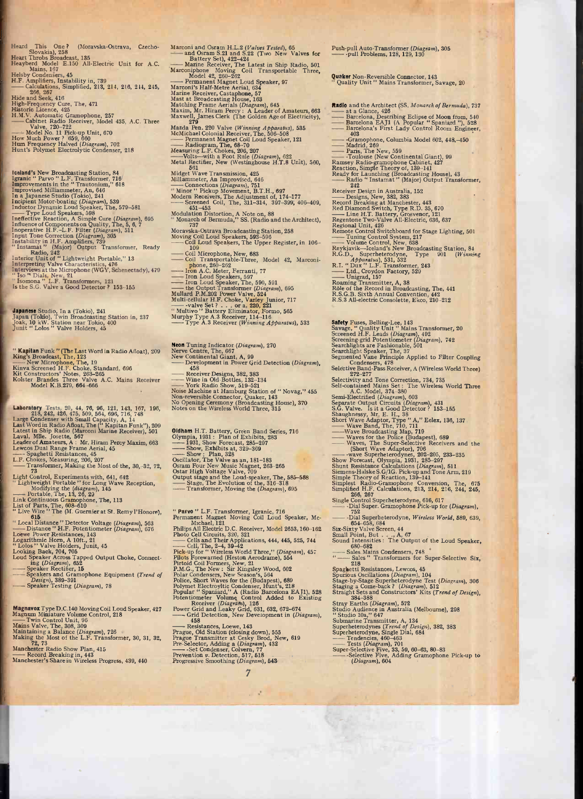Heard This One? (Moravska-Ostrava, Czecho-<br>
Heart Throbs Broadcast, 135<br>
Heayberd Model E.150 All-Electric Unit for A.C.<br>
Mains, 167<br>
Mains, 167<br>
Helsby Condensers, 45<br>
H.F. Amplifiers, Instability in, 739<br>
Caculations, S

266, 267<br>
High -Frequency Cure, The, 471 Historic Licence, 425<br>
Historic Licence, 425 H.M.V. Automatic Gramophone, 257 Cabinet Radio Receiver, Model 435, A.C. Three<br>
Walve, 720–722<br>
Valve, 720–722<br>
M. - Automatic Gramopho Historic Licence, 425<br>
H.M.V. Automatic Gramophone, 257<br>
— Cabinet Radio Receiver, Model 435, A.C. T<br>
— Valve, 720-722<br>
— Model No. 11 Pick-up Unit, 670<br>
How Much Power ? 659, 660<br>
Hum Frequency Halved (Diagram), 702<br>
Hum

**Iceland's New Broadcasting Station, 84**<br> **Igranic "Parvo" L.F. Transformer, 718<br>
Improvements in the "Trautonium," 618<br>
Improvised Milliammeter, An, 646<br>
In a Japanese Studio (Tokio), 241<br>
Incipient Motor-boating (***Diagr* Implemention Speakers, 598<br>
Influence of Components on Quality, The, 5, 6, 7<br>
Influence of Components on Quality, The, 5, 6, 7<br>
Inoperative H.F.-L.F. Filter (*Diagram*), 511<br>
Inoperative H.F.-L.F. Filter (*Diagram*), 511<br>

Japanese Studio, In a (Tokio), 241<br>Japan (Tokio), Twin Broadcasting Station in, 237<br>Joak, 10 kW. Station near Tokio, 400<br>Junit " Lolos " Valve Holders, 45

" Kapitan Funk " (The Last Word in Radio Afloat), 209 King's Broadcast, The, 123<br>
- New Microphone, The, 19<br>
Kinva Screened H.F. Choke, Standard, 696<br>
Kit Constructors' Notes, 263-265<br>
Kolster Brandes Three Valve A.C. Main

Kolster Brandes Three Valve A.C. Mains Receiver<br>1 Model K.B.279, 664-666<br>2 Laboratory Tests, 20, 44, 76, 96, 121, 143, 167, 196,

218, 242, 426, 475, 509, 564, 696, 716, 748<br>Large Condenser with Small Capacity, A, 14<br>Last Word in Radio Afloat, The ("Kapitan Funk"), 209<br>Latest in Ship Radio (Marconi Marine Receiver), 501<br>Latest in Ship Radio (Marconi

Transformer, Making the Most of the, 30,-32, 72,<br>Light Control, Experiments with, 641, 642<br>"Lightwight Portable" for Long Wave Reception,<br>Modifying the (diagram), 145<br>--- Portable, The, 13, 26, 29<br>List of Parts, The, 608-

"Live Wire "The (M. Guernier at St. Remy l'Honore),<br>
"Local Distance "Detector Voltage (*Diagram*), 563<br>
"Local Distance " H.F. Potentiometer (*Diagram*), 676<br>
Toewe Power Resistances, 143<br>
Logarithmic Horn, A 10ft., 21<br>

"Lolos" Valve Holders, Junit, 45<br>
Looking Back, 704, 705<br>
Loud Speaker Across Tapped Output Choke, Connect-<br>
ing (*Diagram*), 652<br>
--- Speakers and Gramophone Equipment (*Trend of Design*), 389-391<br>
--- Speaker Testing (

I<br>
Magnavox Type D.C.140 Moving Coil Loud Speaker, 427<br>
Magnum Miniature Volume Control, 218<br>
Twin Control Unit, 96<br>
Maintaining a Balance (*Diagram*), 726<br>
Making the Most of the L.F. Transformer, 30, 31, 32, 1<br>
Making th

Maintaining a Balance (Diagram), 726<br>
Making the Most of the L.F. Transformer, 30, 31, 32,<br>
Manchester Radio Show Plan, 415<br>
Manchester's Share in Wireless Progress, 439, 440<br>
Manchester's Share in Wireless Progress, 439,

Marconi and Osram H.L.2 (Valves Tested), 65 <br> **- and Osram S.21 and S.22 (Two New Valves for** - Battery Set), 422-424<br> **- Battery Set), 422-424**<br>
Marconiphone Moving Coil Transportable Three, Martine Receiver, The Latest in Ship Radio, 501<br>
Marconiphone Moving Coil Transportable Three,<br>
Model 42, 260-262<br>
— Permanent Magnet Loud Speaker, 97<br>
Marconi's Half-Metre Aerial, 634<br>
— Marconi's Half-Metre Aerial, 634 Permanent Magnet Loud Speaker, 97 Marconi's Half -Metre Aerial, 634 Marine Receiver, Castaphone, 57 Mast at Broadcasting House, 163 Matching Frame Aerials (Diagram), 645 Maxim, Mr. Hiram Percy : A Leader of Amateurs, 663 Maxwe27 James Clerk (The Golden Age of Electricity), Maxwell, James Clerk (The Golden Age of Electrical Receiver, The, 506-508<br>
McMichael Colonial Receiver, The, 506-508<br>
---Permanent Magnet Coil Loud Speaker, 121<br>
----Permanent Magnet Coil Loud Speaker, 121<br>
Measuring L.F. Measuring L.F. Chokes, 206, 207<br>
Welse-with a Foot Rule (Diagram), 622<br>
Metal Rectifier, New (Westinghouse H.T.8 Unit), 560,<br>
For the Rectifier, New (Westinghouse H.T.8 Unit), 560,<br>
Midget Wave Transmission, 425<br>
Millamme Modulation Distortion, A Note on, 88 " Monarch of Bermuda," SS. (Radio and the Architect), 737 Morayska-Ostrava Broadcasting Station, 258 Moving - Coil Loud Speakers, 593-596 Coil Loud The Upper Register, in 106- - <sup>109</sup>Coil Microphone, New, 683 Coil Transportable -Three, Model 42, Marconi - - phone, 260-262 Coil Microphone, New, 683<br>
Coil Transportable-Three, Model 42,<br>
Coil Transportable-Three, Model 42,<br>
Iron A.C. Meter, Ferranti, 77<br>
Iron Loud Speakers, 597<br>
Iron Loud Speakers, 597<br>
Mullard P.M.202 Power Valve, 524<br>
Multi-Type A.3 Receiver (Winning Apparatus), 533<br>
Neon Tuning Indicator (Diagram), 270<br>
Nerve Centre, The, 667<br>
New Continental Giant, A, 99<br>
Development in Power Grid Detection (Diagram),<br>
5458,<br>  $\frac{458}{\sqrt{10}}$ 

Nerve Centre, The, 667<br>
New Continental Giant, A, 99<br>
Continental Giant, A, 99<br>
Development in Power Grid Detection (Diagram<br>
458<br>
Receiver Designs, 382, 383<br>
Wine in Old Bottles, 132–134<br>
Noise Machine at Hamburg Station

**Oldham H.T. Battery, Green Band Series, 716**<br>Clympia, 1931 : Plan of Exhibits, 283<br>  $\longrightarrow$  1931, Show Forecast, 285-207<br>
Show, Exhibits at, 329-369<br>  $\longrightarrow$  Show, Plan, 328<br>
Oscillator, The Valve as an, 181-183<br>
Oscillator, T

" Parvo " L.F. Transformer, Igranic, 716<br>Permanent Magnet Moving Coil Loud Speaker, Mc- -<br>Michael, 121<br>Philips All Electric D.C. Receiver, Model 2653, 160–162 - S. Permanent Magnet Moving Coil Loud Speaker, Michael, 121<br>
Philips All Electric D.C. Receiver, Model 2653, 160-16<br>
Photo Cell Circuits, 320, 321<br>
——Cells and Their Applications, 444, 445, 525, 744<br>
——Cell, The, 2-4, 39-42<br>
P Pick-up for "Wireless World Three," (Diagram), 457<br>
Picks Forewarded (Heston Aerodrame), 554<br>
Pirots Forewarded (Heston Aerodrame), 554<br>
P.M.G., The New: Sir Kingsley Wood, 602<br>
P.M.G., The New: Sir Kingsley Wood, 602<br>
Po Receiver (Diagram), 126<br>
Power Grid and Leaky Grid, 631, 632, 672–674<br>
— Grid Detection, New Development in (Di<br>
458<br>
— Resistances, Loewe, 143<br>
Prague, Old Station (closing down), 555<br>
Prague Transmitter at Cesky Brod, N

Push-pull - Auto -Transformer (Diagram), 305 -pull Problems, 128, 129, 130

**Quaker** Non-Reversible Connector, 143<br>
"Quality Unit " Mains Transformer, Savage, 20<br> **Radio** and the Architect (SS. Monarch of Bermuda), 737<br>  $\longrightarrow$  at a Glance, 426<br>
Barcelona, Describing Eclipse of Moon from, 540<br>
Barce

Fasio <sup>21</sup> Instamat " (Major) Output Transformer,<br>
242<br>
Receiver Designs, New, 382, 383<br>
Record Breaking at Manchester, 443<br>
Record Breaking at Manchester, 443<br>
Red Diamond Switch, Type R.D. 35, 670<br>
— Line H.T. Battery, G

Safety Fuses, Belling-Lee, 143<br>
Savage, "Quality Unit " Mains Transformer, 20<br>
Screeneng-grid Potentiometer (*Diagram*), 492<br>
Screening-grid Potentiometer (*Diagram*), 742<br>
Searchlights are Fashionable, 501<br>
Searchlights Selectivity and Tone Correction, 734, 735<br>Self-Contained Mains Set : The Wireless World Three<br>A.C. Model, 374-380<br>Semi-Electrified (*Diagram*), 603<br>Separate Output Circuits (*Diagram*), 431<br>S.G. Valve. Is it a Good Detecto Separate Output Circuits (Diagram), 431<br>Short Wave Adaptor, Type "A," Eelex, 136, 137<br>Short Wave Band, The, 710, 711<br>— Wave Band, The, 710, 711<br>— Wave Band, The, 710, 711<br>— Waves for the Police (Budapest), 689<br>— Waves, The — Wave Broadcasting Map, 719<br>
— Waves for the Police (Budapest), 689<br>
— Waves, The Super-Selective Receivers and the<br>
(Short Wave Adaptor), 706<br>
— wave Superheterodynes, 202-205, 233-235<br>
Show Forecast, Olympia, 1931, 285-Simplest Radio -Gramophone Conversion, The, 675 Simplified H.F. Calculations, 213, 214, 216, 244, 245, 266, 267<br>
Single Control Superheterodyne, 616, 617<br>
- Dial Super. Gramophone Pick-up for (Diagram),<br>
- 752<br>
- Dial Superheterodyne, Wireless World, 589, 639,<br>
- 654-658, 684<br>
- 654-658, 684

Six-Sixty Valve Screen, 44<br>
Six-Sixty Valve Screen, 44<br>
Small Point, But ..., A, 67<br>
Sound Intensities: The Output of the Loud Speaker,<br>
Sound Intensities: The Output of the Loud Speaker,<br>
"Sales Mains Condensers, 748<br>
"-Stray Earths (Diagram), 572<br>
Studio Audience in Australia (Melbourne), 298<br>
Studio 10a," 647<br>
Submarine Transmitter, A, 134<br>
Superheterodynes (*Trend of Design*), 382, 383<br>
Superheterodyne, Single Dial, 684<br>
— Tendencies,

Tests (Diagram), 701 Super - -Selective Five, 33, 59, 60-63, 80-83 -Selective Five, Adding Gramophone Pick-up to (Diagram), 604 -

111